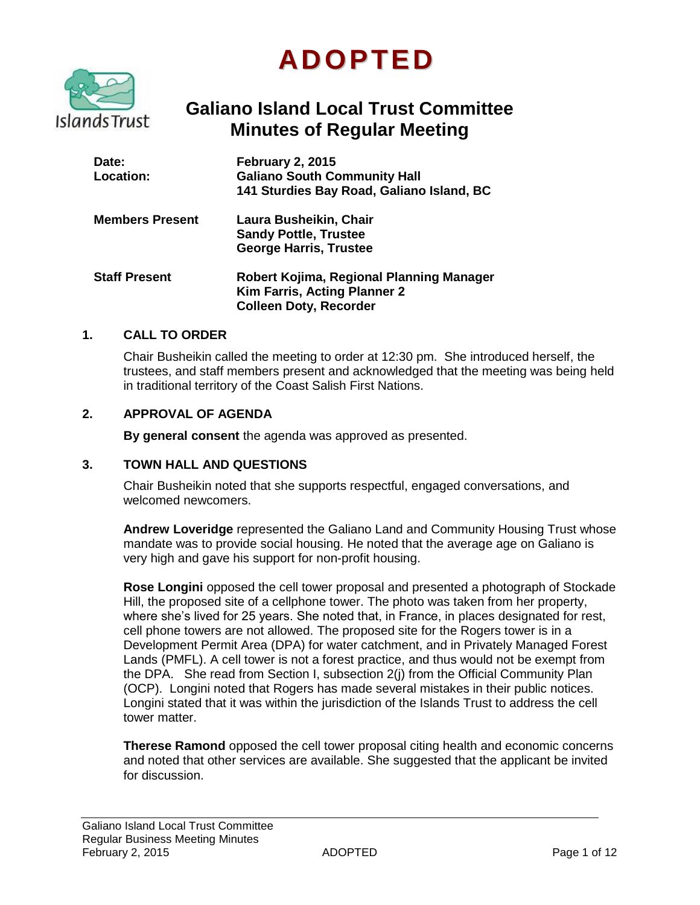# **ADOPTED**



# **Galiano Island Local Trust Committee Minutes of Regular Meeting**

| <b>Date:</b><br>Location: | <b>February 2, 2015</b><br><b>Galiano South Community Hall</b><br>141 Sturdies Bay Road, Galiano Island, BC |
|---------------------------|-------------------------------------------------------------------------------------------------------------|
| <b>Members Present</b>    | Laura Busheikin, Chair<br><b>Sandy Pottle, Trustee</b><br><b>George Harris, Trustee</b>                     |
| <b>Staff Present</b>      | Robert Kojima, Regional Planning Manager<br>Kim Farris, Acting Planner 2<br><b>Colleen Doty, Recorder</b>   |

#### **1. CALL TO ORDER**

Chair Busheikin called the meeting to order at 12:30 pm. She introduced herself, the trustees, and staff members present and acknowledged that the meeting was being held in traditional territory of the Coast Salish First Nations.

#### **2. APPROVAL OF AGENDA**

**By general consent** the agenda was approved as presented.

#### **3. TOWN HALL AND QUESTIONS**

Chair Busheikin noted that she supports respectful, engaged conversations, and welcomed newcomers.

**Andrew Loveridge** represented the Galiano Land and Community Housing Trust whose mandate was to provide social housing. He noted that the average age on Galiano is very high and gave his support for non-profit housing.

**Rose Longini** opposed the cell tower proposal and presented a photograph of Stockade Hill, the proposed site of a cellphone tower. The photo was taken from her property, where she's lived for 25 years. She noted that, in France, in places designated for rest, cell phone towers are not allowed. The proposed site for the Rogers tower is in a Development Permit Area (DPA) for water catchment, and in Privately Managed Forest Lands (PMFL). A cell tower is not a forest practice, and thus would not be exempt from the DPA. She read from Section I, subsection 2(j) from the Official Community Plan (OCP). Longini noted that Rogers has made several mistakes in their public notices. Longini stated that it was within the jurisdiction of the Islands Trust to address the cell tower matter.

**Therese Ramond** opposed the cell tower proposal citing health and economic concerns and noted that other services are available. She suggested that the applicant be invited for discussion.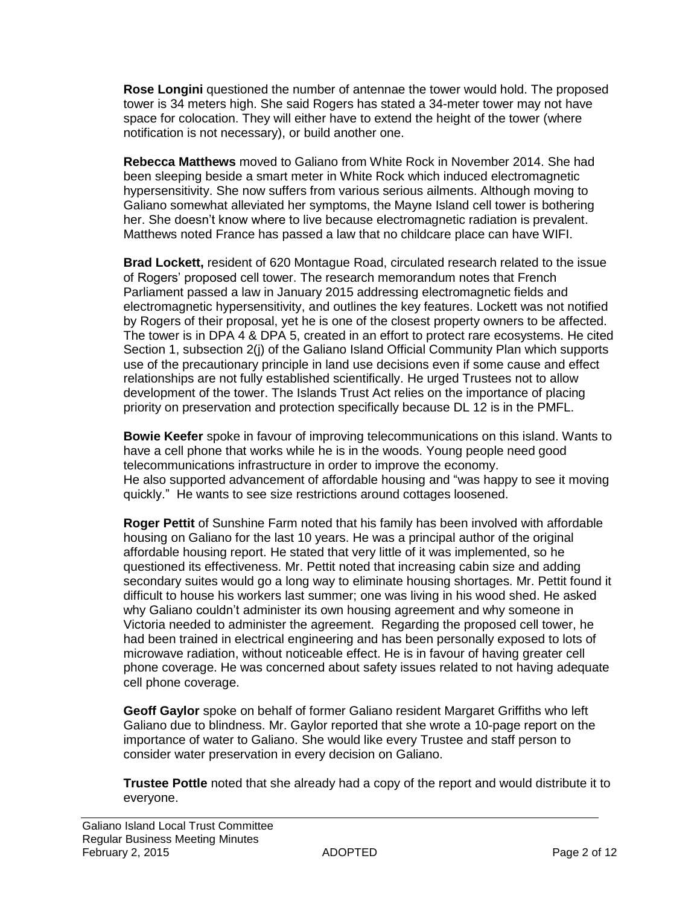**Rose Longini** questioned the number of antennae the tower would hold. The proposed tower is 34 meters high. She said Rogers has stated a 34-meter tower may not have space for colocation. They will either have to extend the height of the tower (where notification is not necessary), or build another one.

**Rebecca Matthews** moved to Galiano from White Rock in November 2014. She had been sleeping beside a smart meter in White Rock which induced electromagnetic hypersensitivity. She now suffers from various serious ailments. Although moving to Galiano somewhat alleviated her symptoms, the Mayne Island cell tower is bothering her. She doesn't know where to live because electromagnetic radiation is prevalent. Matthews noted France has passed a law that no childcare place can have WIFI.

**Brad Lockett,** resident of 620 Montague Road, circulated research related to the issue of Rogers' proposed cell tower. The research memorandum notes that French Parliament passed a law in January 2015 addressing electromagnetic fields and electromagnetic hypersensitivity, and outlines the key features. Lockett was not notified by Rogers of their proposal, yet he is one of the closest property owners to be affected. The tower is in DPA 4 & DPA 5, created in an effort to protect rare ecosystems. He cited Section 1, subsection 2(j) of the Galiano Island Official Community Plan which supports use of the precautionary principle in land use decisions even if some cause and effect relationships are not fully established scientifically. He urged Trustees not to allow development of the tower. The Islands Trust Act relies on the importance of placing priority on preservation and protection specifically because DL 12 is in the PMFL.

**Bowie Keefer** spoke in favour of improving telecommunications on this island. Wants to have a cell phone that works while he is in the woods. Young people need good telecommunications infrastructure in order to improve the economy. He also supported advancement of affordable housing and "was happy to see it moving quickly." He wants to see size restrictions around cottages loosened.

**Roger Pettit** of Sunshine Farm noted that his family has been involved with affordable housing on Galiano for the last 10 years. He was a principal author of the original affordable housing report. He stated that very little of it was implemented, so he questioned its effectiveness. Mr. Pettit noted that increasing cabin size and adding secondary suites would go a long way to eliminate housing shortages. Mr. Pettit found it difficult to house his workers last summer; one was living in his wood shed. He asked why Galiano couldn't administer its own housing agreement and why someone in Victoria needed to administer the agreement. Regarding the proposed cell tower, he had been trained in electrical engineering and has been personally exposed to lots of microwave radiation, without noticeable effect. He is in favour of having greater cell phone coverage. He was concerned about safety issues related to not having adequate cell phone coverage.

**Geoff Gaylor** spoke on behalf of former Galiano resident Margaret Griffiths who left Galiano due to blindness. Mr. Gaylor reported that she wrote a 10-page report on the importance of water to Galiano. She would like every Trustee and staff person to consider water preservation in every decision on Galiano.

**Trustee Pottle** noted that she already had a copy of the report and would distribute it to everyone.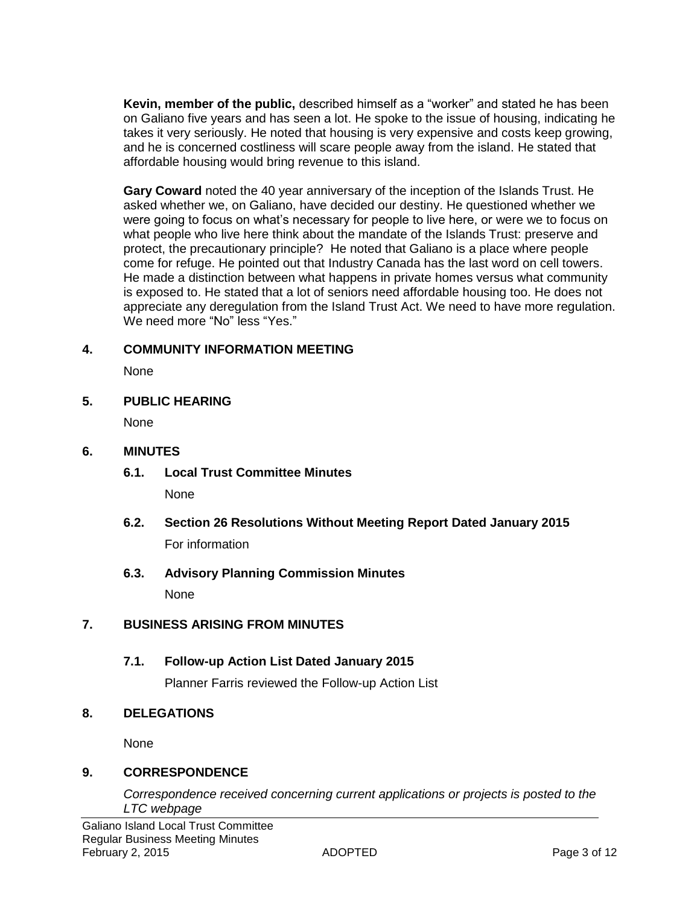**Kevin, member of the public,** described himself as a "worker" and stated he has been on Galiano five years and has seen a lot. He spoke to the issue of housing, indicating he takes it very seriously. He noted that housing is very expensive and costs keep growing, and he is concerned costliness will scare people away from the island. He stated that affordable housing would bring revenue to this island.

**Gary Coward** noted the 40 year anniversary of the inception of the Islands Trust. He asked whether we, on Galiano, have decided our destiny. He questioned whether we were going to focus on what's necessary for people to live here, or were we to focus on what people who live here think about the mandate of the Islands Trust: preserve and protect, the precautionary principle? He noted that Galiano is a place where people come for refuge. He pointed out that Industry Canada has the last word on cell towers. He made a distinction between what happens in private homes versus what community is exposed to. He stated that a lot of seniors need affordable housing too. He does not appreciate any deregulation from the Island Trust Act. We need to have more regulation. We need more "No" less "Yes."

# **4. COMMUNITY INFORMATION MEETING**

None

# **5. PUBLIC HEARING**

None

# **6. MINUTES**

- **6.1. Local Trust Committee Minutes**  None
- **6.2. Section 26 Resolutions Without Meeting Report Dated January 2015** For information
- **6.3. Advisory Planning Commission Minutes**  None

# **7. BUSINESS ARISING FROM MINUTES**

# **7.1. Follow-up Action List Dated January 2015**

Planner Farris reviewed the Follow-up Action List

# **8. DELEGATIONS**

None

# **9. CORRESPONDENCE**

*Correspondence received concerning current applications or projects is posted to the LTC webpage*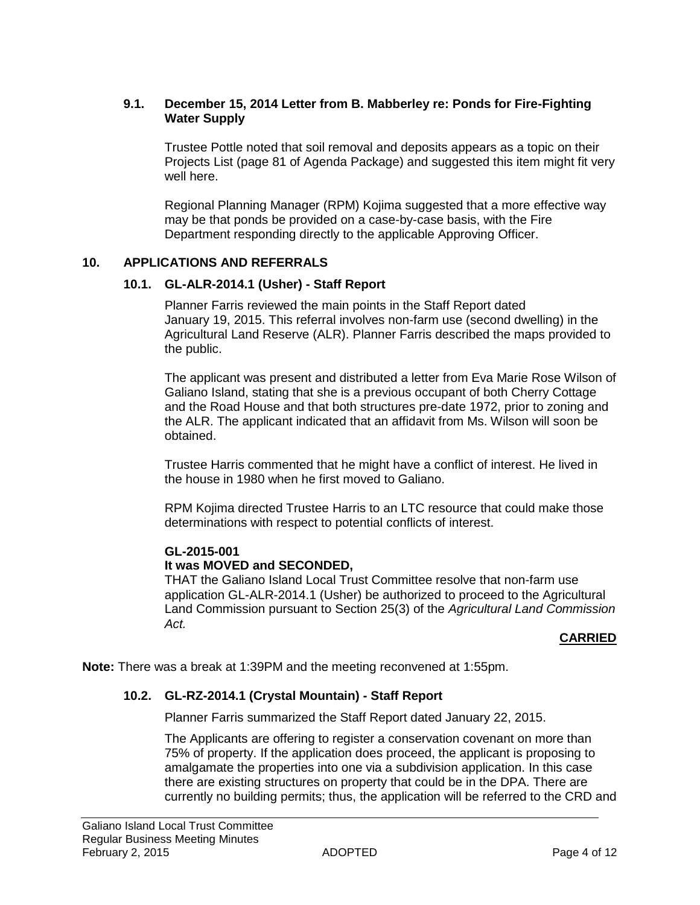#### **9.1. December 15, 2014 Letter from B. Mabberley re: Ponds for Fire-Fighting Water Supply**

Trustee Pottle noted that soil removal and deposits appears as a topic on their Projects List (page 81 of Agenda Package) and suggested this item might fit very well here.

Regional Planning Manager (RPM) Kojima suggested that a more effective way may be that ponds be provided on a case-by-case basis, with the Fire Department responding directly to the applicable Approving Officer.

#### **10. APPLICATIONS AND REFERRALS**

#### **10.1. GL-ALR-2014.1 (Usher) - Staff Report**

Planner Farris reviewed the main points in the Staff Report dated January 19, 2015. This referral involves non-farm use (second dwelling) in the Agricultural Land Reserve (ALR). Planner Farris described the maps provided to the public.

The applicant was present and distributed a letter from Eva Marie Rose Wilson of Galiano Island, stating that she is a previous occupant of both Cherry Cottage and the Road House and that both structures pre-date 1972, prior to zoning and the ALR. The applicant indicated that an affidavit from Ms. Wilson will soon be obtained.

Trustee Harris commented that he might have a conflict of interest. He lived in the house in 1980 when he first moved to Galiano.

RPM Kojima directed Trustee Harris to an LTC resource that could make those determinations with respect to potential conflicts of interest.

#### **GL-2015-001**

#### **It was MOVED and SECONDED,**

THAT the Galiano Island Local Trust Committee resolve that non-farm use application GL-ALR-2014.1 (Usher) be authorized to proceed to the Agricultural Land Commission pursuant to Section 25(3) of the *Agricultural Land Commission Act.*

#### **CARRIED**

**Note:** There was a break at 1:39PM and the meeting reconvened at 1:55pm.

#### **10.2. GL-RZ-2014.1 (Crystal Mountain) - Staff Report**

Planner Farris summarized the Staff Report dated January 22, 2015.

The Applicants are offering to register a conservation covenant on more than 75% of property. If the application does proceed, the applicant is proposing to amalgamate the properties into one via a subdivision application. In this case there are existing structures on property that could be in the DPA. There are currently no building permits; thus, the application will be referred to the CRD and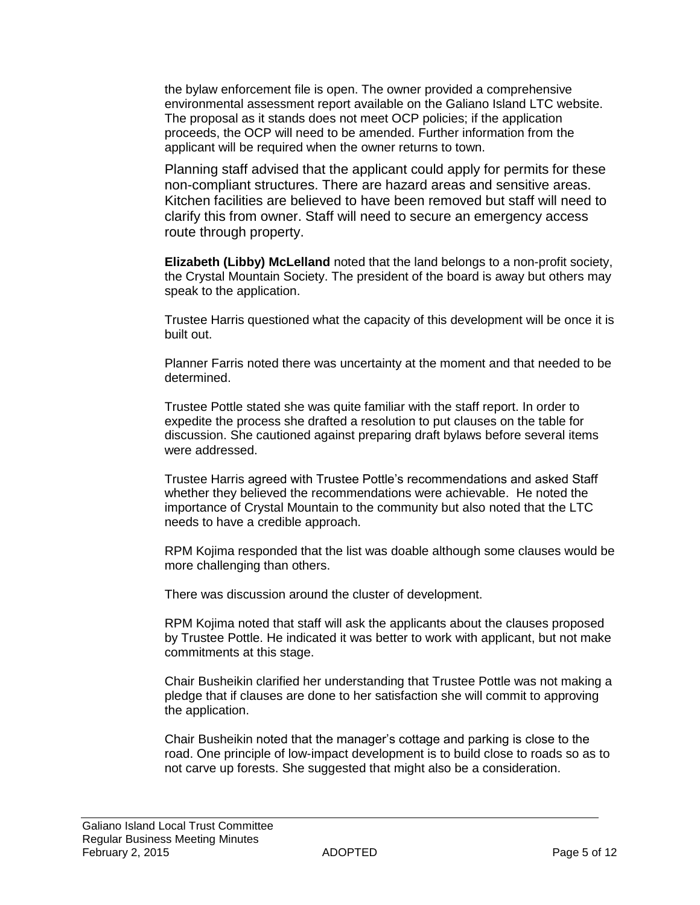the bylaw enforcement file is open. The owner provided a comprehensive environmental assessment report available on the Galiano Island LTC website. The proposal as it stands does not meet OCP policies; if the application proceeds, the OCP will need to be amended. Further information from the applicant will be required when the owner returns to town.

Planning staff advised that the applicant could apply for permits for these non-compliant structures. There are hazard areas and sensitive areas. Kitchen facilities are believed to have been removed but staff will need to clarify this from owner. Staff will need to secure an emergency access route through property.

**Elizabeth (Libby) McLelland** noted that the land belongs to a non-profit society, the Crystal Mountain Society. The president of the board is away but others may speak to the application.

Trustee Harris questioned what the capacity of this development will be once it is built out.

Planner Farris noted there was uncertainty at the moment and that needed to be determined.

Trustee Pottle stated she was quite familiar with the staff report. In order to expedite the process she drafted a resolution to put clauses on the table for discussion. She cautioned against preparing draft bylaws before several items were addressed.

Trustee Harris agreed with Trustee Pottle's recommendations and asked Staff whether they believed the recommendations were achievable. He noted the importance of Crystal Mountain to the community but also noted that the LTC needs to have a credible approach.

RPM Kojima responded that the list was doable although some clauses would be more challenging than others.

There was discussion around the cluster of development.

RPM Kojima noted that staff will ask the applicants about the clauses proposed by Trustee Pottle. He indicated it was better to work with applicant, but not make commitments at this stage.

Chair Busheikin clarified her understanding that Trustee Pottle was not making a pledge that if clauses are done to her satisfaction she will commit to approving the application.

Chair Busheikin noted that the manager's cottage and parking is close to the road. One principle of low-impact development is to build close to roads so as to not carve up forests. She suggested that might also be a consideration.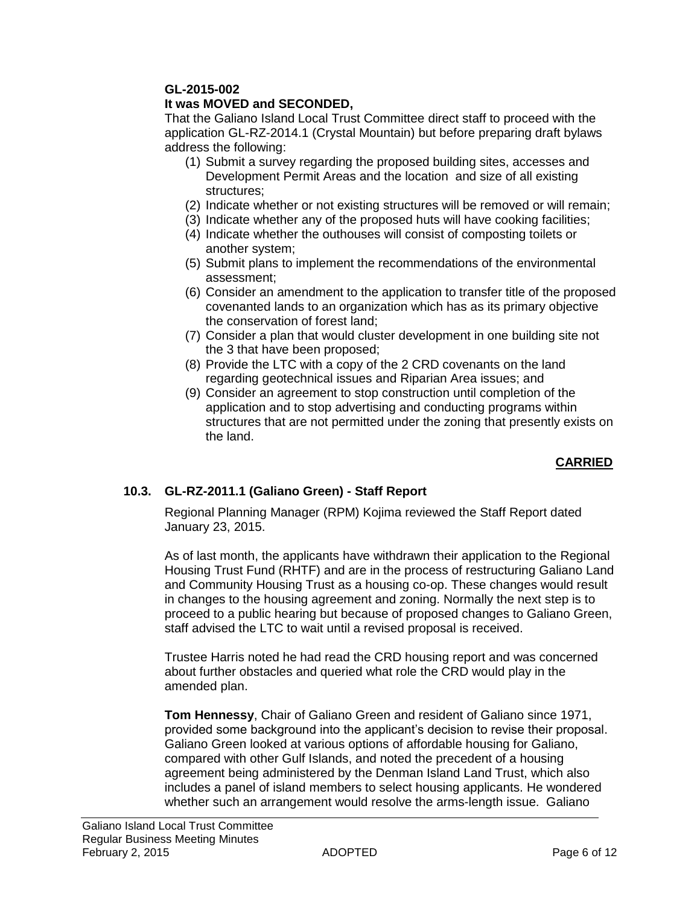# **GL-2015-002**

### **It was MOVED and SECONDED,**

That the Galiano Island Local Trust Committee direct staff to proceed with the application GL-RZ-2014.1 (Crystal Mountain) but before preparing draft bylaws address the following:

- (1) Submit a survey regarding the proposed building sites, accesses and Development Permit Areas and the location and size of all existing structures;
- (2) Indicate whether or not existing structures will be removed or will remain;
- (3) Indicate whether any of the proposed huts will have cooking facilities;
- (4) Indicate whether the outhouses will consist of composting toilets or another system;
- (5) Submit plans to implement the recommendations of the environmental assessment;
- (6) Consider an amendment to the application to transfer title of the proposed covenanted lands to an organization which has as its primary objective the conservation of forest land;
- (7) Consider a plan that would cluster development in one building site not the 3 that have been proposed;
- (8) Provide the LTC with a copy of the 2 CRD covenants on the land regarding geotechnical issues and Riparian Area issues; and
- (9) Consider an agreement to stop construction until completion of the application and to stop advertising and conducting programs within structures that are not permitted under the zoning that presently exists on the land.

# **CARRIED**

# **10.3. GL-RZ-2011.1 (Galiano Green) - Staff Report**

Regional Planning Manager (RPM) Kojima reviewed the Staff Report dated January 23, 2015.

As of last month, the applicants have withdrawn their application to the Regional Housing Trust Fund (RHTF) and are in the process of restructuring Galiano Land and Community Housing Trust as a housing co-op. These changes would result in changes to the housing agreement and zoning. Normally the next step is to proceed to a public hearing but because of proposed changes to Galiano Green, staff advised the LTC to wait until a revised proposal is received.

Trustee Harris noted he had read the CRD housing report and was concerned about further obstacles and queried what role the CRD would play in the amended plan.

**Tom Hennessy**, Chair of Galiano Green and resident of Galiano since 1971, provided some background into the applicant's decision to revise their proposal. Galiano Green looked at various options of affordable housing for Galiano, compared with other Gulf Islands, and noted the precedent of a housing agreement being administered by the Denman Island Land Trust, which also includes a panel of island members to select housing applicants. He wondered whether such an arrangement would resolve the arms-length issue. Galiano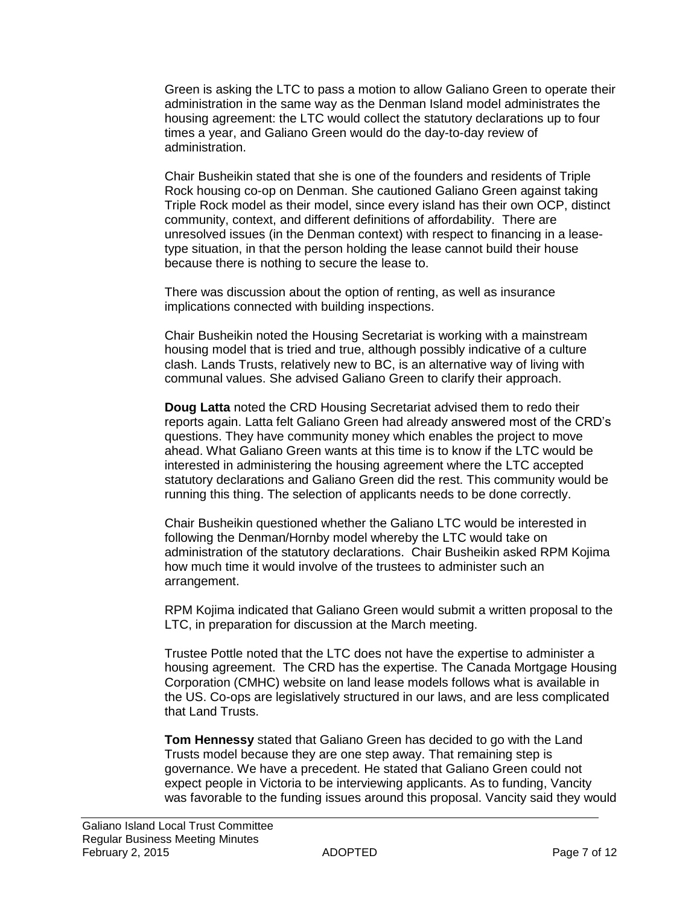Green is asking the LTC to pass a motion to allow Galiano Green to operate their administration in the same way as the Denman Island model administrates the housing agreement: the LTC would collect the statutory declarations up to four times a year, and Galiano Green would do the day-to-day review of administration.

Chair Busheikin stated that she is one of the founders and residents of Triple Rock housing co-op on Denman. She cautioned Galiano Green against taking Triple Rock model as their model, since every island has their own OCP, distinct community, context, and different definitions of affordability. There are unresolved issues (in the Denman context) with respect to financing in a leasetype situation, in that the person holding the lease cannot build their house because there is nothing to secure the lease to.

There was discussion about the option of renting, as well as insurance implications connected with building inspections.

Chair Busheikin noted the Housing Secretariat is working with a mainstream housing model that is tried and true, although possibly indicative of a culture clash. Lands Trusts, relatively new to BC, is an alternative way of living with communal values. She advised Galiano Green to clarify their approach.

**Doug Latta** noted the CRD Housing Secretariat advised them to redo their reports again. Latta felt Galiano Green had already answered most of the CRD's questions. They have community money which enables the project to move ahead. What Galiano Green wants at this time is to know if the LTC would be interested in administering the housing agreement where the LTC accepted statutory declarations and Galiano Green did the rest. This community would be running this thing. The selection of applicants needs to be done correctly.

Chair Busheikin questioned whether the Galiano LTC would be interested in following the Denman/Hornby model whereby the LTC would take on administration of the statutory declarations. Chair Busheikin asked RPM Kojima how much time it would involve of the trustees to administer such an arrangement.

RPM Kojima indicated that Galiano Green would submit a written proposal to the LTC, in preparation for discussion at the March meeting.

Trustee Pottle noted that the LTC does not have the expertise to administer a housing agreement. The CRD has the expertise. The Canada Mortgage Housing Corporation (CMHC) website on land lease models follows what is available in the US. Co-ops are legislatively structured in our laws, and are less complicated that Land Trusts.

**Tom Hennessy** stated that Galiano Green has decided to go with the Land Trusts model because they are one step away. That remaining step is governance. We have a precedent. He stated that Galiano Green could not expect people in Victoria to be interviewing applicants. As to funding, Vancity was favorable to the funding issues around this proposal. Vancity said they would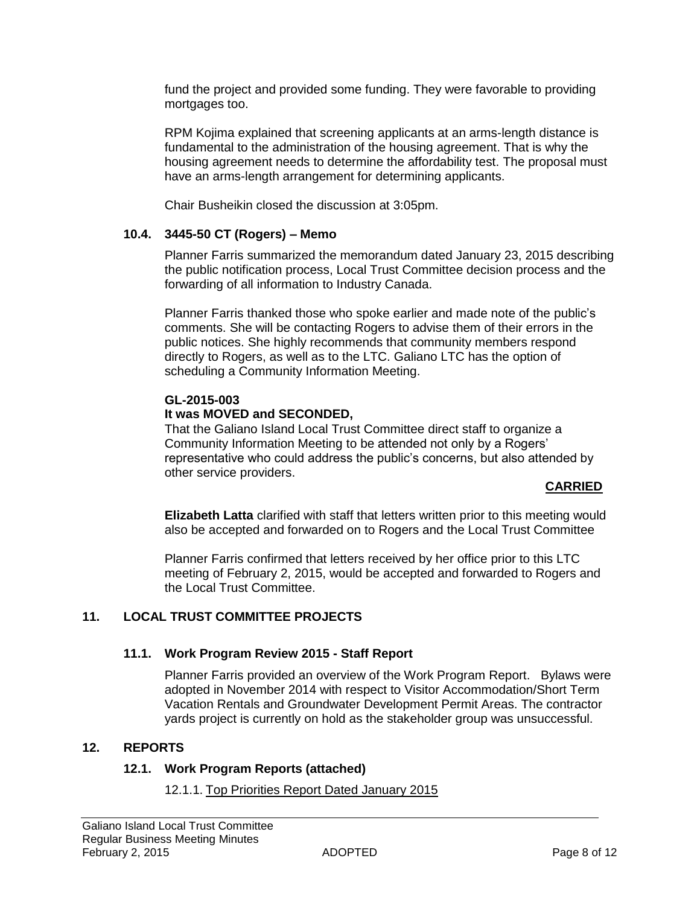fund the project and provided some funding. They were favorable to providing mortgages too.

RPM Kojima explained that screening applicants at an arms-length distance is fundamental to the administration of the housing agreement. That is why the housing agreement needs to determine the affordability test. The proposal must have an arms-length arrangement for determining applicants.

Chair Busheikin closed the discussion at 3:05pm.

#### **10.4. 3445-50 CT (Rogers) – Memo**

Planner Farris summarized the memorandum dated January 23, 2015 describing the public notification process, Local Trust Committee decision process and the forwarding of all information to Industry Canada.

Planner Farris thanked those who spoke earlier and made note of the public's comments. She will be contacting Rogers to advise them of their errors in the public notices. She highly recommends that community members respond directly to Rogers, as well as to the LTC. Galiano LTC has the option of scheduling a Community Information Meeting.

#### **GL-2015-003**

#### **It was MOVED and SECONDED,**

That the Galiano Island Local Trust Committee direct staff to organize a Community Information Meeting to be attended not only by a Rogers' representative who could address the public's concerns, but also attended by other service providers.

#### **CARRIED**

**Elizabeth Latta** clarified with staff that letters written prior to this meeting would also be accepted and forwarded on to Rogers and the Local Trust Committee

Planner Farris confirmed that letters received by her office prior to this LTC meeting of February 2, 2015, would be accepted and forwarded to Rogers and the Local Trust Committee.

# **11. LOCAL TRUST COMMITTEE PROJECTS**

#### **11.1. Work Program Review 2015 - Staff Report**

Planner Farris provided an overview of the Work Program Report. Bylaws were adopted in November 2014 with respect to Visitor Accommodation/Short Term Vacation Rentals and Groundwater Development Permit Areas. The contractor yards project is currently on hold as the stakeholder group was unsuccessful.

#### **12. REPORTS**

#### **12.1. Work Program Reports (attached)**

#### 12.1.1. Top Priorities Report Dated January 2015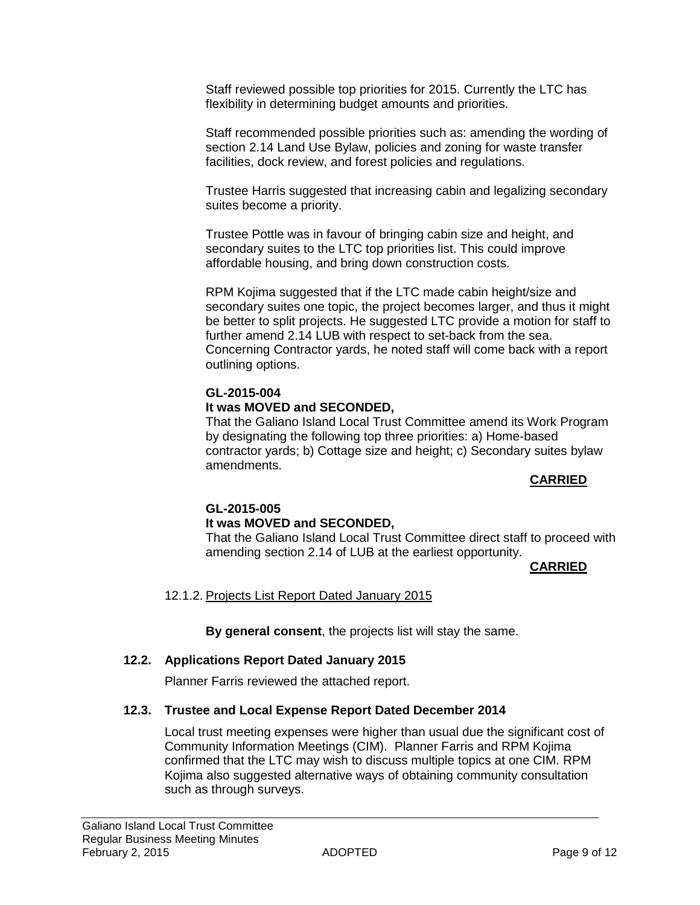Staff reviewed possible top priorities for 2015. Currently the LTC has flexibility in determining budget amounts and priorities.

Staff recommended possible priorities such as: amending the wording of section 2.14 Land Use Bylaw, policies and zoning for waste transfer facilities, dock review, and forest policies and regulations.

Trustee Harris suggested that increasing cabin and legalizing secondary suites become a priority.

Trustee Pottle was in favour of bringing cabin size and height, and secondary suites to the LTC top priorities list. This could improve affordable housing, and bring down construction costs.

RPM Kojima suggested that if the LTC made cabin height/size and secondary suites one topic, the project becomes larger, and thus it might be better to split projects. He suggested LTC provide a motion for staff to further amend 2.14 LUB with respect to set-back from the sea. Concerning Contractor yards, he noted staff will come back with a report outlining options.

# **GL-2015-004 It was MOVED and SECONDED,**

That the Galiano Island Local Trust Committee amend its Work Program by designating the following top three priorities: a) Home-based contractor yards; b) Cottage size and height; c) Secondary suites bylaw amendments.

# **CARRIED**

# **GL-2015-005 It was MOVED and SECONDED,**

That the Galiano Island Local Trust Committee direct staff to proceed with amending section 2.14 of LUB at the earliest opportunity.

# **CARRIED**

12.1.2. Projects List Report Dated January 2015

**By general consent**, the projects list will stay the same.

# **12.2. Applications Report Dated January 2015**

Planner Farris reviewed the attached report.

# **12.3. Trustee and Local Expense Report Dated December 2014**

Local trust meeting expenses were higher than usual due the significant cost of Community Information Meetings (CIM). Planner Farris and RPM Kojima confirmed that the LTC may wish to discuss multiple topics at one CIM. RPM Kojima also suggested alternative ways of obtaining community consultation such as through surveys.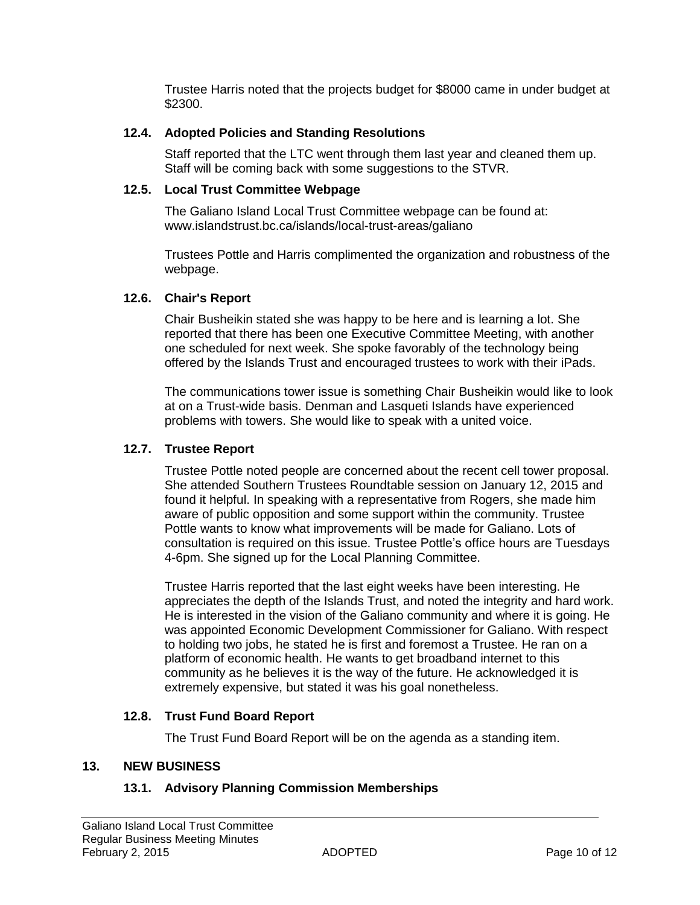Trustee Harris noted that the projects budget for \$8000 came in under budget at \$2300.

#### **12.4. Adopted Policies and Standing Resolutions**

Staff reported that the LTC went through them last year and cleaned them up. Staff will be coming back with some suggestions to the STVR.

#### **12.5. Local Trust Committee Webpage**

The Galiano Island Local Trust Committee webpage can be found at: [www.islandstrust.bc.ca/islands/local-trust-areas/galiano](http://www.islandstrust.bc.ca/islands/local-trust-areas/galiano)

Trustees Pottle and Harris complimented the organization and robustness of the webpage.

#### **12.6. Chair's Report**

Chair Busheikin stated she was happy to be here and is learning a lot. She reported that there has been one Executive Committee Meeting, with another one scheduled for next week. She spoke favorably of the technology being offered by the Islands Trust and encouraged trustees to work with their iPads.

The communications tower issue is something Chair Busheikin would like to look at on a Trust-wide basis. Denman and Lasqueti Islands have experienced problems with towers. She would like to speak with a united voice.

#### **12.7. Trustee Report**

Trustee Pottle noted people are concerned about the recent cell tower proposal. She attended Southern Trustees Roundtable session on January 12, 2015 and found it helpful. In speaking with a representative from Rogers, she made him aware of public opposition and some support within the community. Trustee Pottle wants to know what improvements will be made for Galiano. Lots of consultation is required on this issue. Trustee Pottle's office hours are Tuesdays 4-6pm. She signed up for the Local Planning Committee.

Trustee Harris reported that the last eight weeks have been interesting. He appreciates the depth of the Islands Trust, and noted the integrity and hard work. He is interested in the vision of the Galiano community and where it is going. He was appointed Economic Development Commissioner for Galiano. With respect to holding two jobs, he stated he is first and foremost a Trustee. He ran on a platform of economic health. He wants to get broadband internet to this community as he believes it is the way of the future. He acknowledged it is extremely expensive, but stated it was his goal nonetheless.

# **12.8. Trust Fund Board Report**

The Trust Fund Board Report will be on the agenda as a standing item.

#### **13. NEW BUSINESS**

# **13.1. Advisory Planning Commission Memberships**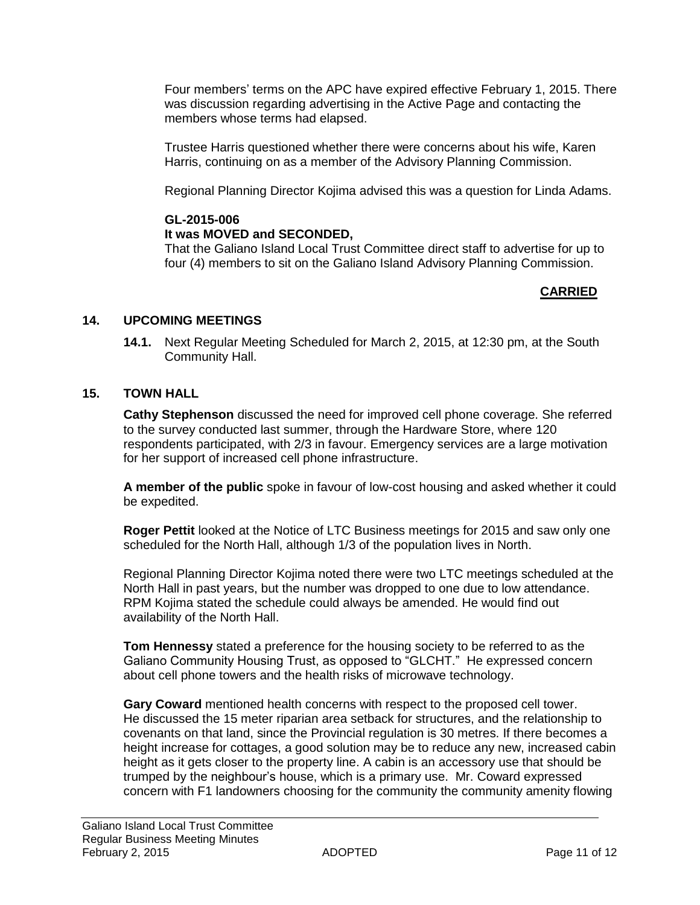Four members' terms on the APC have expired effective February 1, 2015. There was discussion regarding advertising in the Active Page and contacting the members whose terms had elapsed.

Trustee Harris questioned whether there were concerns about his wife, Karen Harris, continuing on as a member of the Advisory Planning Commission.

Regional Planning Director Kojima advised this was a question for Linda Adams.

#### **GL-2015-006**

#### **It was MOVED and SECONDED,**

That the Galiano Island Local Trust Committee direct staff to advertise for up to four (4) members to sit on the Galiano Island Advisory Planning Commission.

# **CARRIED**

#### **14. UPCOMING MEETINGS**

**14.1.** Next Regular Meeting Scheduled for March 2, 2015, at 12:30 pm, at the South Community Hall.

#### **15. TOWN HALL**

**Cathy Stephenson** discussed the need for improved cell phone coverage. She referred to the survey conducted last summer, through the Hardware Store, where 120 respondents participated, with 2/3 in favour. Emergency services are a large motivation for her support of increased cell phone infrastructure.

**A member of the public** spoke in favour of low-cost housing and asked whether it could be expedited.

**Roger Pettit** looked at the Notice of LTC Business meetings for 2015 and saw only one scheduled for the North Hall, although 1/3 of the population lives in North.

Regional Planning Director Kojima noted there were two LTC meetings scheduled at the North Hall in past years, but the number was dropped to one due to low attendance. RPM Kojima stated the schedule could always be amended. He would find out availability of the North Hall.

**Tom Hennessy** stated a preference for the housing society to be referred to as the Galiano Community Housing Trust, as opposed to "GLCHT." He expressed concern about cell phone towers and the health risks of microwave technology.

**Gary Coward** mentioned health concerns with respect to the proposed cell tower. He discussed the 15 meter riparian area setback for structures, and the relationship to covenants on that land, since the Provincial regulation is 30 metres. If there becomes a height increase for cottages, a good solution may be to reduce any new, increased cabin height as it gets closer to the property line. A cabin is an accessory use that should be trumped by the neighbour's house, which is a primary use. Mr. Coward expressed concern with F1 landowners choosing for the community the community amenity flowing